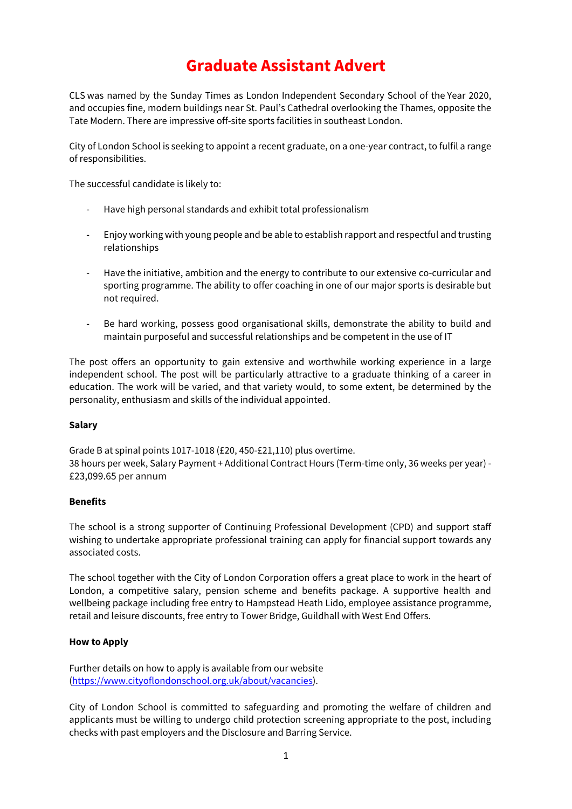# **Graduate Assistant Advert**

CLS was named by the Sunday Times as London Independent Secondary School of the Year 2020, and occupies fine, modern buildings near St. Paul's Cathedral overlooking the Thames, opposite the Tate Modern. There are impressive off-site sports facilities in southeast London.

City of London School is seeking to appoint a recent graduate, on a one-year contract, to fulfil a range of responsibilities.

The successful candidate is likely to:

- Have high personal standards and exhibit total professionalism
- Enjoy working with young people and be able to establish rapport and respectful and trusting relationships
- Have the initiative, ambition and the energy to contribute to our extensive co-curricular and sporting programme. The ability to offer coaching in one of our major sports is desirable but not required.
- Be hard working, possess good organisational skills, demonstrate the ability to build and maintain purposeful and successful relationships and be competent in the use of IT

The post offers an opportunity to gain extensive and worthwhile working experience in a large independent school. The post will be particularly attractive to a graduate thinking of a career in education. The work will be varied, and that variety would, to some extent, be determined by the personality, enthusiasm and skills of the individual appointed.

#### **Salary**

Grade B at spinal points 1017-1018 (£20, 450-£21,110) plus overtime. 38 hours per week, Salary Payment + Additional Contract Hours (Term-time only, 36 weeks per year) - £23,099.65 per annum

#### **Benefits**

The school is a strong supporter of Continuing Professional Development (CPD) and support staff wishing to undertake appropriate professional training can apply for financial support towards any associated costs.

The school together with the City of London Corporation offers a great place to work in the heart of London, a competitive salary, pension scheme and benefits package. A supportive health and wellbeing package including free entry to Hampstead Heath Lido, employee assistance programme, retail and leisure discounts, free entry to Tower Bridge, Guildhall with West End Offers.

### **How to Apply**

Further details on how to apply is available from our website [\(https://www.cityoflondonschool.org.uk/about/vacancies\)](https://www.cityoflondonschool.org.uk/about/vacancies).

City of London School is committed to safeguarding and promoting the welfare of children and applicants must be willing to undergo child protection screening appropriate to the post, including checks with past employers and the Disclosure and Barring Service.